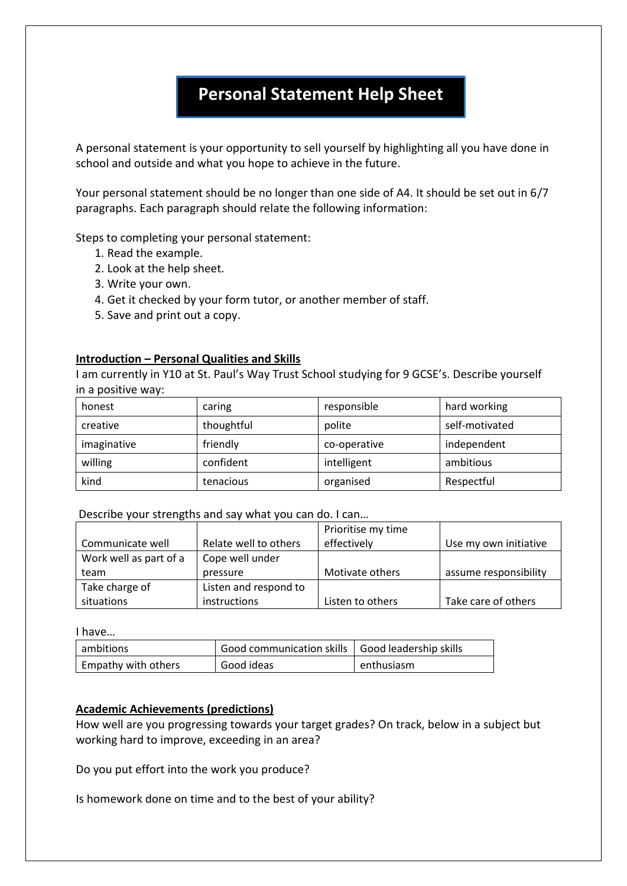# **Personal Statement Help Sheet**

A personal statement is your opportunity to sell yourself by highlighting all you have done in school and outside and what you hope to achieve in the future.

Your personal statement should be no longer than one side of A4. It should be set out in 6/7 paragraphs. Each paragraph should relate the following information:

Steps to completing your personal statement:

- 1. Read the example.
- 2. Look at the help sheet.
- 3. Write your own.
- 4. Get it checked by your form tutor, or another member of staff.
- 5. Save and print out a copy.

#### **Introduction – Personal Qualities and Skills**

I am currently in Y10 at St. Paul's Way Trust School studying for 9 GCSE's. Describe yourself in a positive way:

| honest      | caring     | responsible  | hard working   |
|-------------|------------|--------------|----------------|
| creative    | thoughtful | polite       | self-motivated |
| imaginative | friendly   | co-operative | independent    |
| willing     | confident  | intelligent  | ambitious      |
| kind        | tenacious  | organised    | Respectful     |

Describe your strengths and say what you can do. I can…

|                        |                       | Prioritise my time |                       |
|------------------------|-----------------------|--------------------|-----------------------|
| Communicate well       | Relate well to others | effectively        | Use my own initiative |
| Work well as part of a | Cope well under       |                    |                       |
| team                   | pressure              | Motivate others    | assume responsibility |
| Take charge of         | Listen and respond to |                    |                       |
| situations             | instructions          | Listen to others   | Take care of others   |

I have…

| l ambitions         | Good communication skills   Good leadership skills |            |
|---------------------|----------------------------------------------------|------------|
| Empathy with others | Good ideas                                         | enthusiasm |

#### **Academic Achievements (predictions)**

How well are you progressing towards your target grades? On track, below in a subject but working hard to improve, exceeding in an area?

Do you put effort into the work you produce?

Is homework done on time and to the best of your ability?